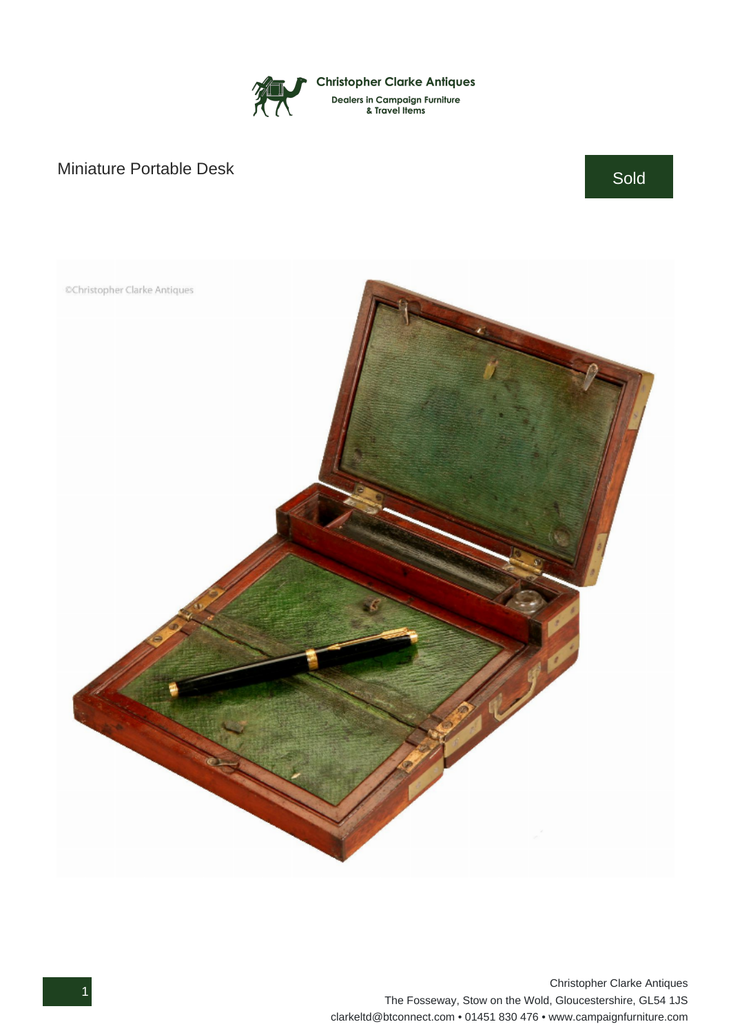

## Miniature Portable Desk Sold